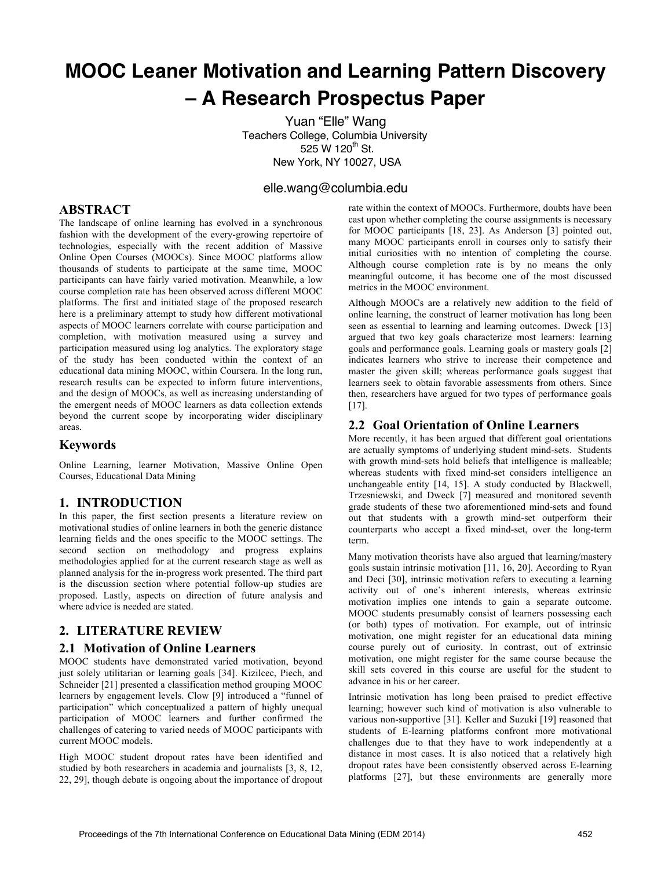# **MOOC Leaner Motivation and Learning Pattern Discovery – A Research Prospectus Paper**

Yuan "Elle" Wang Teachers College, Columbia University 525 W  $120^{th}$  St. New York, NY 10027, USA

# elle.wang@columbia.edu

## **ABSTRACT**

The landscape of online learning has evolved in a synchronous fashion with the development of the every-growing repertoire of technologies, especially with the recent addition of Massive Online Open Courses (MOOCs). Since MOOC platforms allow thousands of students to participate at the same time, MOOC participants can have fairly varied motivation. Meanwhile, a low course completion rate has been observed across different MOOC platforms. The first and initiated stage of the proposed research here is a preliminary attempt to study how different motivational aspects of MOOC learners correlate with course participation and completion, with motivation measured using a survey and participation measured using log analytics. The exploratory stage of the study has been conducted within the context of an educational data mining MOOC, within Coursera. In the long run, research results can be expected to inform future interventions, and the design of MOOCs, as well as increasing understanding of the emergent needs of MOOC learners as data collection extends beyond the current scope by incorporating wider disciplinary areas.

## **Keywords**

Online Learning, learner Motivation, Massive Online Open Courses, Educational Data Mining

## **1. INTRODUCTION**

In this paper, the first section presents a literature review on motivational studies of online learners in both the generic distance learning fields and the ones specific to the MOOC settings. The second section on methodology and progress explains methodologies applied for at the current research stage as well as planned analysis for the in-progress work presented. The third part is the discussion section where potential follow-up studies are proposed. Lastly, aspects on direction of future analysis and where advice is needed are stated.

## **2. LITERATURE REVIEW**

#### **2.1 Motivation of Online Learners**

MOOC students have demonstrated varied motivation, beyond just solely utilitarian or learning goals [34]. Kizilcec, Piech, and Schneider [21] presented a classification method grouping MOOC learners by engagement levels. Clow [9] introduced a "funnel of participation" which conceptualized a pattern of highly unequal participation of MOOC learners and further confirmed the challenges of catering to varied needs of MOOC participants with current MOOC models.

High MOOC student dropout rates have been identified and studied by both researchers in academia and journalists [3, 8, 12, 22, 29], though debate is ongoing about the importance of dropout rate within the context of MOOCs. Furthermore, doubts have been cast upon whether completing the course assignments is necessary for MOOC participants [18, 23]. As Anderson [3] pointed out, many MOOC participants enroll in courses only to satisfy their initial curiosities with no intention of completing the course. Although course completion rate is by no means the only meaningful outcome, it has become one of the most discussed metrics in the MOOC environment.

Although MOOCs are a relatively new addition to the field of online learning, the construct of learner motivation has long been seen as essential to learning and learning outcomes. Dweck [13] argued that two key goals characterize most learners: learning goals and performance goals. Learning goals or mastery goals [2] indicates learners who strive to increase their competence and master the given skill; whereas performance goals suggest that learners seek to obtain favorable assessments from others. Since then, researchers have argued for two types of performance goals [17].

## **2.2 Goal Orientation of Online Learners**

More recently, it has been argued that different goal orientations are actually symptoms of underlying student mind-sets. Students with growth mind-sets hold beliefs that intelligence is malleable: whereas students with fixed mind-set considers intelligence an unchangeable entity [14, 15]. A study conducted by Blackwell, Trzesniewski, and Dweck [7] measured and monitored seventh grade students of these two aforementioned mind-sets and found out that students with a growth mind-set outperform their counterparts who accept a fixed mind-set, over the long-term term.

Many motivation theorists have also argued that learning/mastery goals sustain intrinsic motivation [11, 16, 20]. According to Ryan and Deci [30], intrinsic motivation refers to executing a learning activity out of one's inherent interests, whereas extrinsic motivation implies one intends to gain a separate outcome. MOOC students presumably consist of learners possessing each (or both) types of motivation. For example, out of intrinsic motivation, one might register for an educational data mining course purely out of curiosity. In contrast, out of extrinsic motivation, one might register for the same course because the skill sets covered in this course are useful for the student to advance in his or her career.

Intrinsic motivation has long been praised to predict effective learning; however such kind of motivation is also vulnerable to various non-supportive [31]. Keller and Suzuki [19] reasoned that students of E-learning platforms confront more motivational challenges due to that they have to work independently at a distance in most cases. It is also noticed that a relatively high dropout rates have been consistently observed across E-learning platforms [27], but these environments are generally more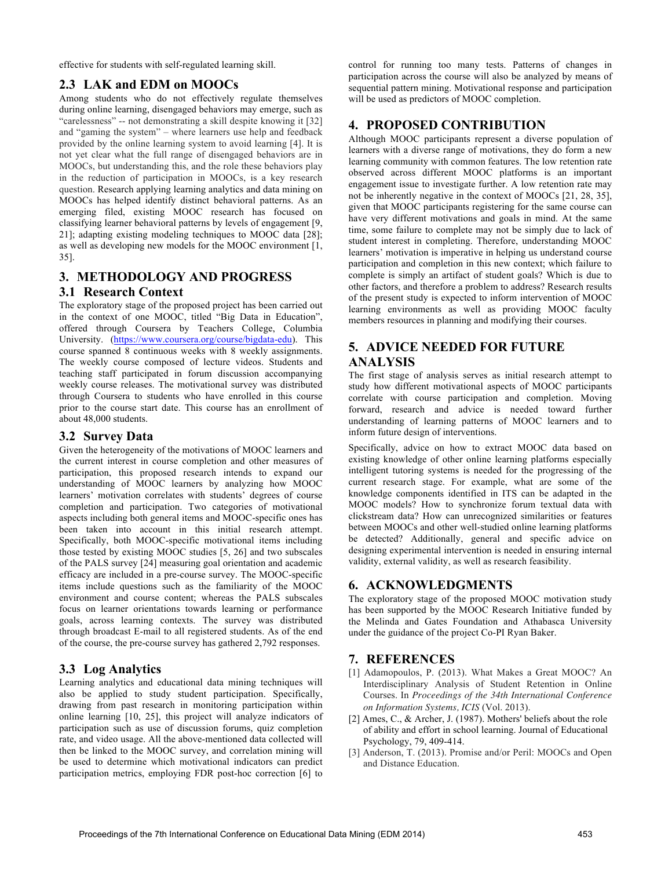effective for students with self-regulated learning skill.

# **2.3 LAK and EDM on MOOCs**

Among students who do not effectively regulate themselves during online learning, disengaged behaviors may emerge, such as "carelessness" -- not demonstrating a skill despite knowing it [32] and "gaming the system" – where learners use help and feedback provided by the online learning system to avoid learning [4]. It is not yet clear what the full range of disengaged behaviors are in MOOCs, but understanding this, and the role these behaviors play in the reduction of participation in MOOCs, is a key research question. Research applying learning analytics and data mining on MOOCs has helped identify distinct behavioral patterns. As an emerging filed, existing MOOC research has focused on classifying learner behavioral patterns by levels of engagement [9, 21]; adapting existing modeling techniques to MOOC data [28]; as well as developing new models for the MOOC environment [1, 35].

# **3. METHODOLOGY AND PROGRESS**

## **3.1 Research Context**

The exploratory stage of the proposed project has been carried out in the context of one MOOC, titled "Big Data in Education", offered through Coursera by Teachers College, Columbia University. (https://www.coursera.org/course/bigdata-edu). This course spanned 8 continuous weeks with 8 weekly assignments. The weekly course composed of lecture videos. Students and teaching staff participated in forum discussion accompanying weekly course releases. The motivational survey was distributed through Coursera to students who have enrolled in this course prior to the course start date. This course has an enrollment of about 48,000 students.

## **3.2 Survey Data**

Given the heterogeneity of the motivations of MOOC learners and the current interest in course completion and other measures of participation, this proposed research intends to expand our understanding of MOOC learners by analyzing how MOOC learners' motivation correlates with students' degrees of course completion and participation. Two categories of motivational aspects including both general items and MOOC-specific ones has been taken into account in this initial research attempt. Specifically, both MOOC-specific motivational items including those tested by existing MOOC studies [5, 26] and two subscales of the PALS survey [24] measuring goal orientation and academic efficacy are included in a pre-course survey. The MOOC-specific items include questions such as the familiarity of the MOOC environment and course content; whereas the PALS subscales focus on learner orientations towards learning or performance goals, across learning contexts. The survey was distributed through broadcast E-mail to all registered students. As of the end of the course, the pre-course survey has gathered 2,792 responses.

# **3.3 Log Analytics**

Learning analytics and educational data mining techniques will also be applied to study student participation. Specifically, drawing from past research in monitoring participation within online learning [10, 25], this project will analyze indicators of participation such as use of discussion forums, quiz completion rate, and video usage. All the above-mentioned data collected will then be linked to the MOOC survey, and correlation mining will be used to determine which motivational indicators can predict participation metrics, employing FDR post-hoc correction [6] to

control for running too many tests. Patterns of changes in participation across the course will also be analyzed by means of sequential pattern mining. Motivational response and participation will be used as predictors of MOOC completion.

# **4. PROPOSED CONTRIBUTION**

Although MOOC participants represent a diverse population of learners with a diverse range of motivations, they do form a new learning community with common features. The low retention rate observed across different MOOC platforms is an important engagement issue to investigate further. A low retention rate may not be inherently negative in the context of MOOCs [21, 28, 35], given that MOOC participants registering for the same course can have very different motivations and goals in mind. At the same time, some failure to complete may not be simply due to lack of student interest in completing. Therefore, understanding MOOC learners' motivation is imperative in helping us understand course participation and completion in this new context; which failure to complete is simply an artifact of student goals? Which is due to other factors, and therefore a problem to address? Research results of the present study is expected to inform intervention of MOOC learning environments as well as providing MOOC faculty members resources in planning and modifying their courses.

# **5. ADVICE NEEDED FOR FUTURE ANALYSIS**

The first stage of analysis serves as initial research attempt to study how different motivational aspects of MOOC participants correlate with course participation and completion. Moving forward, research and advice is needed toward further understanding of learning patterns of MOOC learners and to inform future design of interventions.

Specifically, advice on how to extract MOOC data based on existing knowledge of other online learning platforms especially intelligent tutoring systems is needed for the progressing of the current research stage. For example, what are some of the knowledge components identified in ITS can be adapted in the MOOC models? How to synchronize forum textual data with clickstream data? How can unrecognized similarities or features between MOOCs and other well-studied online learning platforms be detected? Additionally, general and specific advice on designing experimental intervention is needed in ensuring internal validity, external validity, as well as research feasibility.

# **6. ACKNOWLEDGMENTS**

The exploratory stage of the proposed MOOC motivation study has been supported by the MOOC Research Initiative funded by the Melinda and Gates Foundation and Athabasca University under the guidance of the project Co-PI Ryan Baker.

# **7. REFERENCES**

- [1] Adamopoulos, P. (2013). What Makes a Great MOOC? An Interdisciplinary Analysis of Student Retention in Online Courses. In *Proceedings of the 34th International Conference on Information Systems, ICIS* (Vol. 2013).
- [2] Ames, C., & Archer, J. (1987). Mothers' beliefs about the role of ability and effort in school learning. Journal of Educational Psychology, 79, 409-414.
- [3] Anderson, T. (2013). Promise and/or Peril: MOOCs and Open and Distance Education.